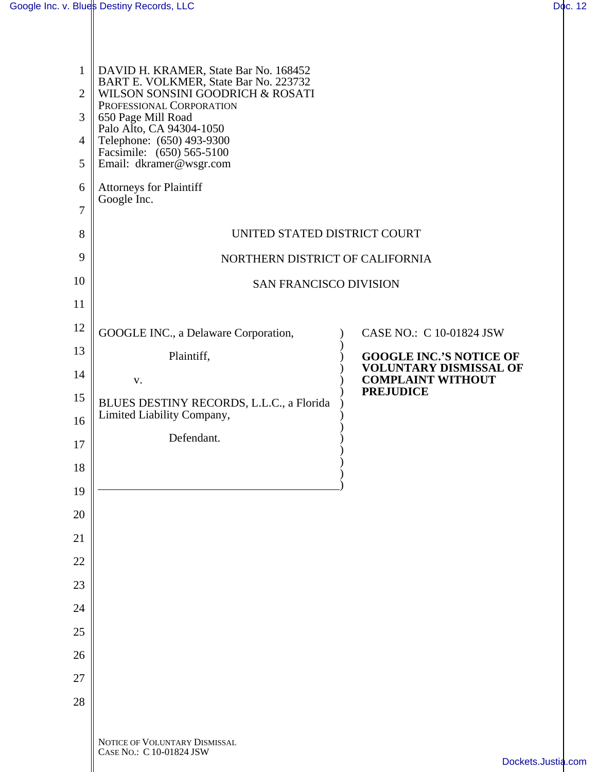$\mathbb{I}$ 

| $\mathbf{1}$<br>$\overline{2}$<br>3<br>$\overline{4}$<br>5 | DAVID H. KRAMER, State Bar No. 168452<br>BART E. VOLKMER, State Bar No. 223732<br>WILSON SONSINI GOODRICH & ROSATI<br>PROFESSIONAL CORPORATION<br>650 Page Mill Road<br>Palo Alto, CA 94304-1050<br>Telephone: (650) 493-9300<br>Facsimile: (650) 565-5100<br>Email: dkramer@wsgr.com |                                                                 |  |
|------------------------------------------------------------|---------------------------------------------------------------------------------------------------------------------------------------------------------------------------------------------------------------------------------------------------------------------------------------|-----------------------------------------------------------------|--|
| 6                                                          | <b>Attorneys for Plaintiff</b><br>Google Inc.                                                                                                                                                                                                                                         |                                                                 |  |
| 7                                                          |                                                                                                                                                                                                                                                                                       |                                                                 |  |
| 8                                                          | UNITED STATED DISTRICT COURT                                                                                                                                                                                                                                                          |                                                                 |  |
| 9                                                          | NORTHERN DISTRICT OF CALIFORNIA                                                                                                                                                                                                                                                       |                                                                 |  |
| 10                                                         | <b>SAN FRANCISCO DIVISION</b>                                                                                                                                                                                                                                                         |                                                                 |  |
| 11                                                         |                                                                                                                                                                                                                                                                                       |                                                                 |  |
| 12                                                         | GOOGLE INC., a Delaware Corporation,                                                                                                                                                                                                                                                  | CASE NO.: C 10-01824 JSW                                        |  |
| 13                                                         | Plaintiff,                                                                                                                                                                                                                                                                            | <b>GOOGLE INC.'S NOTICE OF</b><br><b>VOLUNTARY DISMISSAL OF</b> |  |
| 14                                                         | V.                                                                                                                                                                                                                                                                                    | <b>COMPLAINT WITHOUT</b><br><b>PREJUDICE</b>                    |  |
| 15                                                         | BLUES DESTINY RECORDS, L.L.C., a Florida<br>Limited Liability Company,                                                                                                                                                                                                                |                                                                 |  |
| 16                                                         | Defendant.                                                                                                                                                                                                                                                                            |                                                                 |  |
| 17                                                         |                                                                                                                                                                                                                                                                                       |                                                                 |  |
| 18<br>19                                                   |                                                                                                                                                                                                                                                                                       |                                                                 |  |
| 20                                                         |                                                                                                                                                                                                                                                                                       |                                                                 |  |
| 21                                                         |                                                                                                                                                                                                                                                                                       |                                                                 |  |
| 22                                                         |                                                                                                                                                                                                                                                                                       |                                                                 |  |
| 23                                                         |                                                                                                                                                                                                                                                                                       |                                                                 |  |
| 24                                                         |                                                                                                                                                                                                                                                                                       |                                                                 |  |
| 25                                                         |                                                                                                                                                                                                                                                                                       |                                                                 |  |
| 26                                                         |                                                                                                                                                                                                                                                                                       |                                                                 |  |
| 27                                                         |                                                                                                                                                                                                                                                                                       |                                                                 |  |
| 28                                                         |                                                                                                                                                                                                                                                                                       |                                                                 |  |
|                                                            |                                                                                                                                                                                                                                                                                       |                                                                 |  |
|                                                            | NOTICE OF VOLUNTARY DISMISSAL<br>CASE NO.: C 10-01824 JSW                                                                                                                                                                                                                             | Dockets.Ju                                                      |  |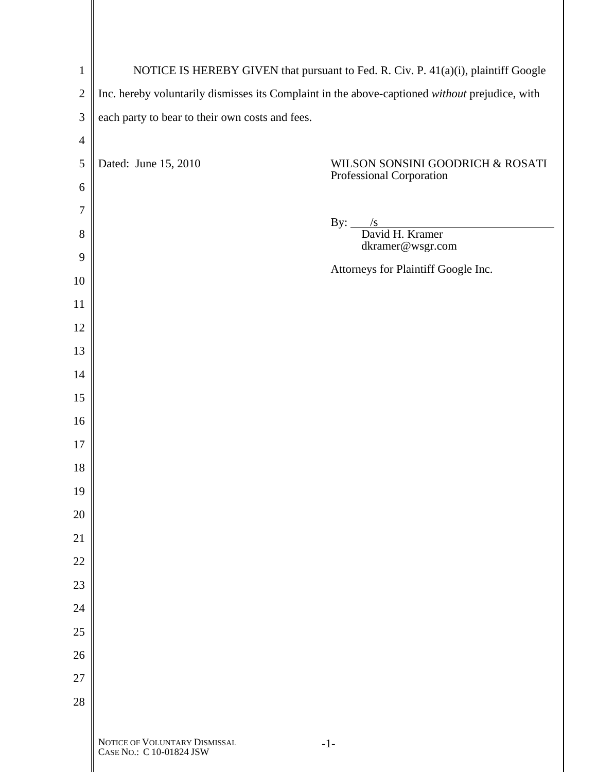| $\mathbf{1}$   | NOTICE IS HEREBY GIVEN that pursuant to Fed. R. Civ. P. 41(a)(i), plaintiff Google             |                                                                     |  |
|----------------|------------------------------------------------------------------------------------------------|---------------------------------------------------------------------|--|
| $\overline{2}$ | Inc. hereby voluntarily dismisses its Complaint in the above-captioned without prejudice, with |                                                                     |  |
| 3              | each party to bear to their own costs and fees.                                                |                                                                     |  |
| $\overline{4}$ |                                                                                                |                                                                     |  |
| 5              | Dated: June 15, 2010                                                                           | WILSON SONSINI GOODRICH & ROSATI<br>Professional Corporation        |  |
| 6              |                                                                                                |                                                                     |  |
| $\overline{7}$ |                                                                                                |                                                                     |  |
| 8              |                                                                                                | By: $\frac{\sqrt{s}}{\sqrt{S}}$ David H. Kramer<br>dkramer@wsgr.com |  |
| 9              |                                                                                                | Attorneys for Plaintiff Google Inc.                                 |  |
| 10             |                                                                                                |                                                                     |  |
| 11             |                                                                                                |                                                                     |  |
| 12             |                                                                                                |                                                                     |  |
| 13             |                                                                                                |                                                                     |  |
| 14             |                                                                                                |                                                                     |  |
| 15             |                                                                                                |                                                                     |  |
| 16             |                                                                                                |                                                                     |  |
| 17<br>18       |                                                                                                |                                                                     |  |
| 19             |                                                                                                |                                                                     |  |
| 20             |                                                                                                |                                                                     |  |
| 21             |                                                                                                |                                                                     |  |
| 22             |                                                                                                |                                                                     |  |
| 23             |                                                                                                |                                                                     |  |
| 24             |                                                                                                |                                                                     |  |
| 25             |                                                                                                |                                                                     |  |
| 26             |                                                                                                |                                                                     |  |
| 27             |                                                                                                |                                                                     |  |
| 28             |                                                                                                |                                                                     |  |
|                |                                                                                                |                                                                     |  |
|                | NOTICE OF VOLUNTARY DISMISSAL<br>CASE NO.: C 10-01824 JSW                                      | $-1-$                                                               |  |

 $\parallel$